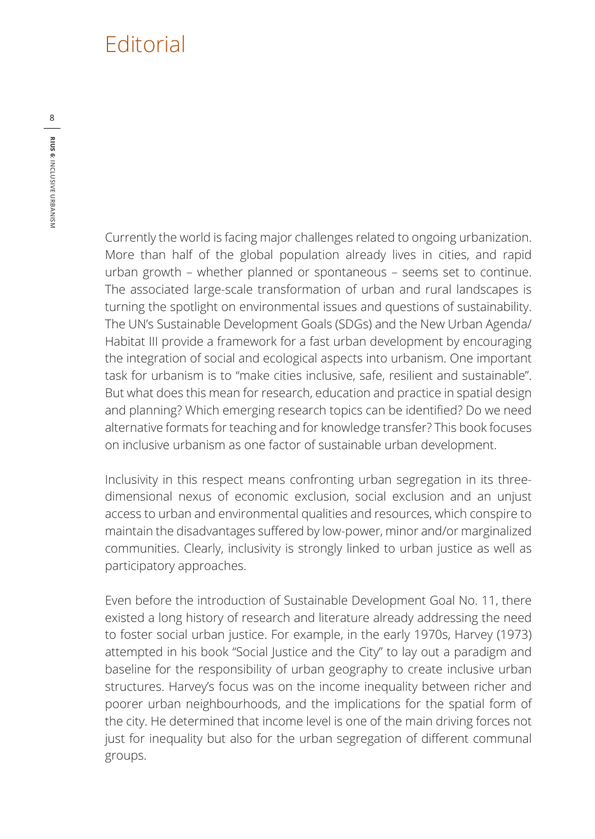## **Editorial**

Currently the world is facing major challenges related to ongoing urbanization. More than half of the global population already lives in cities, and rapid urban growth – whether planned or spontaneous – seems set to continue. The associated large-scale transformation of urban and rural landscapes is turning the spotlight on environmental issues and questions of sustainability. The UN's Sustainable Development Goals (SDGs) and the New Urban Agenda/ Habitat III provide a framework for a fast urban development by encouraging the integration of social and ecological aspects into urbanism. One important task for urbanism is to "make cities inclusive, safe, resilient and sustainable". But what does this mean for research, education and practice in spatial design and planning? Which emerging research topics can be identified? Do we need alternative formats for teaching and for knowledge transfer? This book focuses on inclusive urbanism as one factor of sustainable urban development.

Inclusivity in this respect means confronting urban segregation in its threedimensional nexus of economic exclusion, social exclusion and an unjust access to urban and environmental qualities and resources, which conspire to maintain the disadvantages suffered by low-power, minor and/or marginalized communities. Clearly, inclusivity is strongly linked to urban justice as well as participatory approaches.

Even before the introduction of Sustainable Development Goal No. 11, there existed a long history of research and literature already addressing the need to foster social urban justice. For example, in the early 1970s, Harvey (1973) attempted in his book "Social Justice and the City" to lay out a paradigm and baseline for the responsibility of urban geography to create inclusive urban structures. Harvey's focus was on the income inequality between richer and poorer urban neighbourhoods, and the implications for the spatial form of the city. He determined that income level is one of the main driving forces not just for inequality but also for the urban segregation of different communal groups.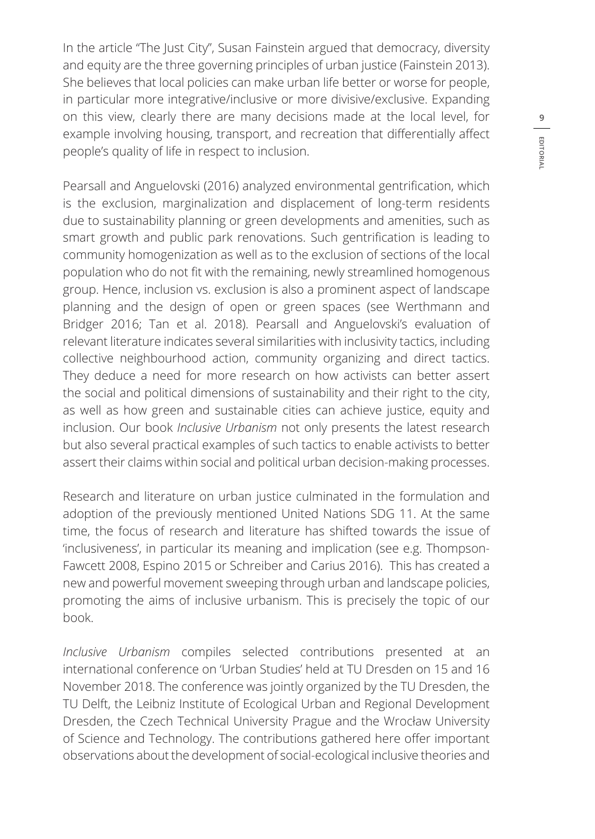In the article "The Just City", Susan Fainstein argued that democracy, diversity and equity are the three governing principles of urban justice (Fainstein 2013). She believes that local policies can make urban life better or worse for people, in particular more integrative/inclusive or more divisive/exclusive. Expanding on this view, clearly there are many decisions made at the local level, for example involving housing, transport, and recreation that differentially affect people's quality of life in respect to inclusion.

Pearsall and Anguelovski (2016) analyzed environmental gentrification, which is the exclusion, marginalization and displacement of long-term residents due to sustainability planning or green developments and amenities, such as smart growth and public park renovations. Such gentrification is leading to community homogenization as well as to the exclusion of sections of the local population who do not fit with the remaining, newly streamlined homogenous group. Hence, inclusion vs. exclusion is also a prominent aspect of landscape planning and the design of open or green spaces (see Werthmann and Bridger 2016; Tan et al. 2018). Pearsall and Anguelovski's evaluation of relevant literature indicates several similarities with inclusivity tactics, including collective neighbourhood action, community organizing and direct tactics. They deduce a need for more research on how activists can better assert the social and political dimensions of sustainability and their right to the city, as well as how green and sustainable cities can achieve justice, equity and inclusion. Our book *Inclusive Urbanism* not only presents the latest research but also several practical examples of such tactics to enable activists to better assert their claims within social and political urban decision-making processes.

Research and literature on urban justice culminated in the formulation and adoption of the previously mentioned United Nations SDG 11. At the same time, the focus of research and literature has shifted towards the issue of 'inclusiveness', in particular its meaning and implication (see e.g. Thompson-Fawcett 2008, Espino 2015 or Schreiber and Carius 2016). This has created a new and powerful movement sweeping through urban and landscape policies, promoting the aims of inclusive urbanism. This is precisely the topic of our book.

*Inclusive Urbanism* compiles selected contributions presented at an international conference on 'Urban Studies' held at TU Dresden on 15 and 16 November 2018. The conference was jointly organized by the TU Dresden, the TU Delft, the Leibniz Institute of Ecological Urban and Regional Development Dresden, the Czech Technical University Prague and the Wrocław University of Science and Technology. The contributions gathered here offer important observations about the development of social-ecological inclusive theories and